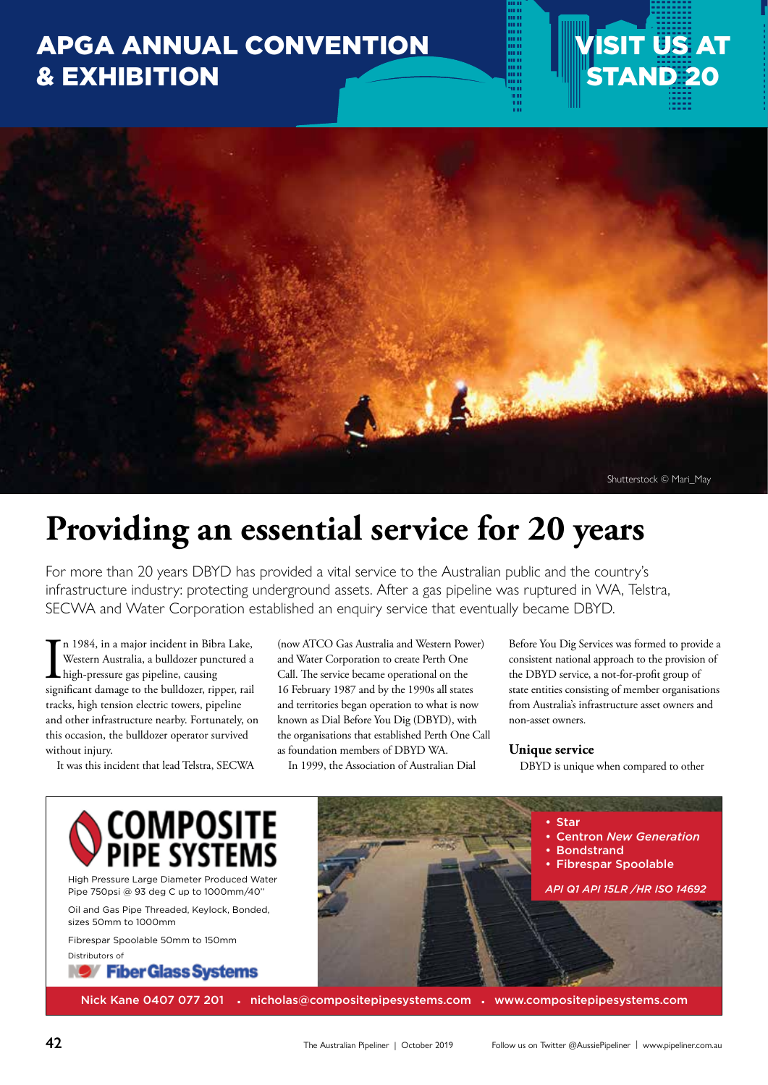### APGA ANNUAL CONVENTION & EXHIBITION





## **Providing an essential service for 20 years**

For more than 20 years DBYD has provided a vital service to the Australian public and the country's infrastructure industry: protecting underground assets. After a gas pipeline was ruptured in WA, Telstra, SECWA and Water Corporation established an enquiry service that eventually became DBYD.

In 1984, in a major incident in Bibra Lake,<br>Western Australia, a bulldozer punctured a<br>high-pressure gas pipeline, causing<br>significant damage to the bulldozer, ripper, rail n 1984, in a major incident in Bibra Lake, Western Australia, a bulldozer punctured a high-pressure gas pipeline, causing tracks, high tension electric towers, pipeline and other infrastructure nearby. Fortunately, on this occasion, the bulldozer operator survived without injury.

It was this incident that lead Telstra, SECWA

(now ATCO Gas Australia and Western Power) and Water Corporation to create Perth One Call. The service became operational on the 16 February 1987 and by the 1990s all states and territories began operation to what is now known as Dial Before You Dig (DBYD), with the organisations that established Perth One Call as foundation members of DBYD WA.

In 1999, the Association of Australian Dial

Before You Dig Services was formed to provide a consistent national approach to the provision of the DBYD service, a not-for-profit group of state entities consisting of member organisations from Australia's infrastructure asset owners and non-asset owners.

#### **Unique service**

DBYD is unique when compared to other